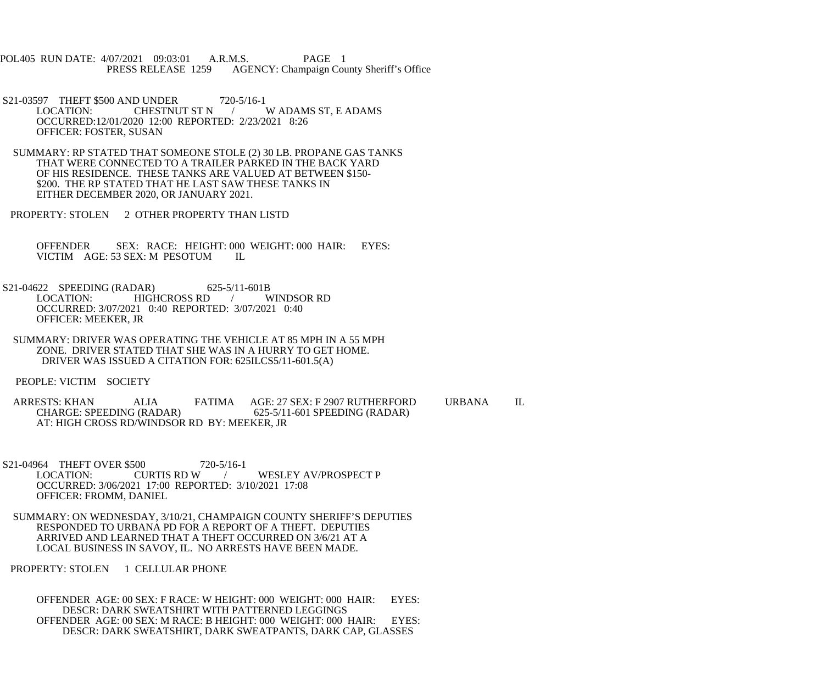POL405 RUN DATE: 4/07/2021 09:03:01 A.R.M.S. PAGE 1<br>PRESS RELEASE 1259 AGENCY: Champaign Cou AGENCY: Champaign County Sheriff's Office

S21-03597 THEFT \$500 AND UNDER 720-5/16-1<br>LOCATION: CHESTNUT ST N W ADAMS ST, E ADAMS OCCURRED:12/01/2020 12:00 REPORTED: 2/23/2021 8:26 OFFICER: FOSTER, SUSAN

 SUMMARY: RP STATED THAT SOMEONE STOLE (2) 30 LB. PROPANE GAS TANKS THAT WERE CONNECTED TO A TRAILER PARKED IN THE BACK YARD OF HIS RESIDENCE. THESE TANKS ARE VALUED AT BETWEEN \$150- \$200. THE RP STATED THAT HE LAST SAW THESE TANKS IN EITHER DECEMBER 2020, OR JANUARY 2021.

PROPERTY: STOLEN 2 OTHER PROPERTY THAN LISTD

OFFENDER SEX: RACE: HEIGHT: 000 WEIGHT: 000 HAIR: EYES: VICTIM AGE: 53 SEX: M PESOTUM IL VICTIM AGE: 53 SEX: M PESOTUM

S21-04622 SPEEDING (RADAR) 625-5/11-601B<br>LOCATION: HIGHCROSS RD / WINDSOR RD HIGHCROSS RD / OCCURRED: 3/07/2021 0:40 REPORTED: 3/07/2021 0:40 OFFICER: MEEKER, JR

 SUMMARY: DRIVER WAS OPERATING THE VEHICLE AT 85 MPH IN A 55 MPH ZONE. DRIVER STATED THAT SHE WAS IN A HURRY TO GET HOME. DRIVER WAS ISSUED A CITATION FOR: 625ILCS5/11-601.5(A)

PEOPLE: VICTIM SOCIETY

ARRESTS: KHAN ALIA FATIMA AGE: 27 SEX: F 2907 RUTHERFORD URBANA IL<br>CHARGE: SPEEDING (RADAR) 625-5/11-601 SPEEDING (RADAR) 625-5/11-601 SPEEDING (RADAR) AT: HIGH CROSS RD/WINDSOR RD BY: MEEKER, JR

S21-04964 THEFT OVER \$500 720-5/16-1<br>LOCATION: CURTIS RD W / WESLEY AV/PROSPECT P OCCURRED: 3/06/2021 17:00 REPORTED: 3/10/2021 17:08 OFFICER: FROMM, DANIEL

 SUMMARY: ON WEDNESDAY, 3/10/21, CHAMPAIGN COUNTY SHERIFF'S DEPUTIES RESPONDED TO URBANA PD FOR A REPORT OF A THEFT. DEPUTIES ARRIVED AND LEARNED THAT A THEFT OCCURRED ON 3/6/21 AT A LOCAL BUSINESS IN SAVOY, IL. NO ARRESTS HAVE BEEN MADE.

PROPERTY: STOLEN 1 CELLULAR PHONE

 OFFENDER AGE: 00 SEX: F RACE: W HEIGHT: 000 WEIGHT: 000 HAIR: EYES: DESCR: DARK SWEATSHIRT WITH PATTERNED LEGGINGS OFFENDER AGE: 00 SEX: M RACE: B HEIGHT: 000 WEIGHT: 000 HAIR: EYES: DESCR: DARK SWEATSHIRT, DARK SWEATPANTS, DARK CAP, GLASSES